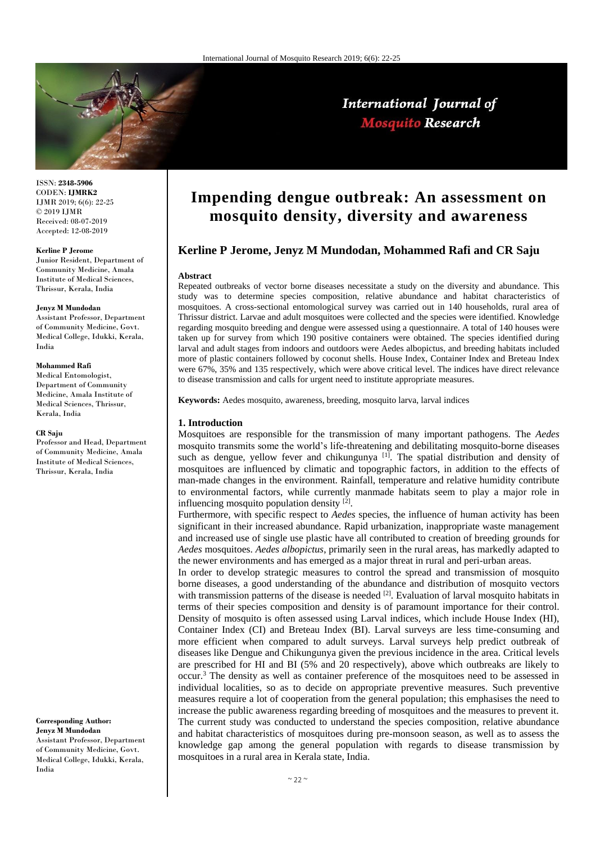

ISSN: **2348-5906** CODEN: **IJMRK2** IJMR 2019; 6(6): 22-25 © 2019 IJMR Received: 08-07-2019 Accepted: 12-08-2019

#### **Kerline P Jerome**

Junior Resident, Department of Community Medicine, Amala Institute of Medical Sciences, Thrissur, Kerala, India

#### **Jenyz M Mundodan**

Assistant Professor, Department of Community Medicine, Govt. Medical College, Idukki, Kerala, India

# **Mohammed Rafi**

Medical Entomologist, Department of Community Medicine, Amala Institute of Medical Sciences, Thrissur, Kerala, India

#### **CR Saju**

Professor and Head, Department of Community Medicine, Amala Institute of Medical Sciences, Thrissur, Kerala, India

**Corresponding Author: Jenyz M Mundodan** Assistant Professor, Department of Community Medicine, Govt. Medical College, Idukki, Kerala, India

# **Impending dengue outbreak: An assessment on mosquito density, diversity and awareness**

International Journal of **Mosquito Research** 

# **Kerline P Jerome, Jenyz M Mundodan, Mohammed Rafi and CR Saju**

#### **Abstract**

Repeated outbreaks of vector borne diseases necessitate a study on the diversity and abundance. This study was to determine species composition, relative abundance and habitat characteristics of mosquitoes. A cross-sectional entomological survey was carried out in 140 households, rural area of Thrissur district. Larvae and adult mosquitoes were collected and the species were identified. Knowledge regarding mosquito breeding and dengue were assessed using a questionnaire. A total of 140 houses were taken up for survey from which 190 positive containers were obtained. The species identified during larval and adult stages from indoors and outdoors were Aedes albopictus, and breeding habitats included more of plastic containers followed by coconut shells. House Index, Container Index and Breteau Index were 67%, 35% and 135 respectively, which were above critical level. The indices have direct relevance to disease transmission and calls for urgent need to institute appropriate measures.

**Keywords:** Aedes mosquito, awareness, breeding, mosquito larva, larval indices

## **1. Introduction**

Mosquitoes are responsible for the transmission of many important pathogens. The *Aedes* mosquito transmits some the world's life-threatening and debilitating mosquito-borne diseases such as dengue, yellow fever and chikungunya  $[1]$ . The spatial distribution and density of mosquitoes are influenced by climatic and topographic factors, in addition to the effects of man-made changes in the environment. Rainfall, temperature and relative humidity contribute to environmental factors, while currently manmade habitats seem to play a major role in influencing mosquito population density [2].

Furthermore, with specific respect to *Aedes* species, the influence of human activity has been significant in their increased abundance. Rapid urbanization, inappropriate waste management and increased use of single use plastic have all contributed to creation of breeding grounds for *Aedes* mosquitoes. *Aedes albopictus*, primarily seen in the rural areas, has markedly adapted to the newer environments and has emerged as a major threat in rural and peri-urban areas.

In order to develop strategic measures to control the spread and transmission of mosquito borne diseases, a good understanding of the abundance and distribution of mosquito vectors with transmission patterns of the disease is needed  $[2]$ . Evaluation of larval mosquito habitats in terms of their species composition and density is of paramount importance for their control. Density of mosquito is often assessed using Larval indices, which include House Index (HI), Container Index (CI) and Breteau Index (BI). Larval surveys are less time-consuming and more efficient when compared to adult surveys. Larval surveys help predict outbreak of diseases like Dengue and Chikungunya given the previous incidence in the area. Critical levels are prescribed for HI and BI (5% and 20 respectively), above which outbreaks are likely to occur.<sup>3</sup> The density as well as container preference of the mosquitoes need to be assessed in individual localities, so as to decide on appropriate preventive measures. Such preventive measures require a lot of cooperation from the general population; this emphasises the need to increase the public awareness regarding breeding of mosquitoes and the measures to prevent it. The current study was conducted to understand the species composition, relative abundance and habitat characteristics of mosquitoes during pre-monsoon season, as well as to assess the knowledge gap among the general population with regards to disease transmission by mosquitoes in a rural area in Kerala state, India.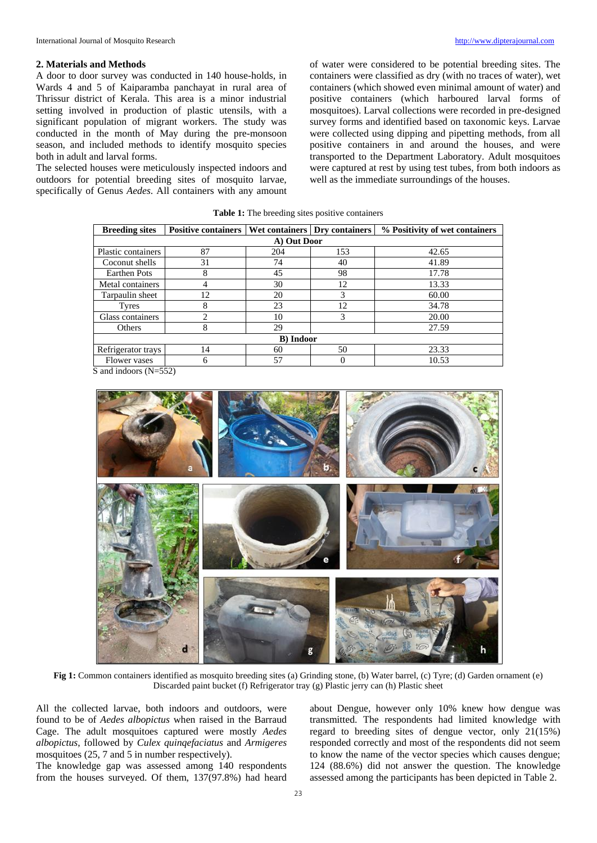#### **2. Materials and Methods**

A door to door survey was conducted in 140 house-holds, in Wards 4 and 5 of Kaiparamba panchayat in rural area of Thrissur district of Kerala. This area is a minor industrial setting involved in production of plastic utensils, with a significant population of migrant workers. The study was conducted in the month of May during the pre-monsoon season, and included methods to identify mosquito species both in adult and larval forms.

The selected houses were meticulously inspected indoors and outdoors for potential breeding sites of mosquito larvae, specifically of Genus *Aedes*. All containers with any amount of water were considered to be potential breeding sites. The containers were classified as dry (with no traces of water), wet containers (which showed even minimal amount of water) and positive containers (which harboured larval forms of mosquitoes). Larval collections were recorded in pre-designed survey forms and identified based on taxonomic keys. Larvae were collected using dipping and pipetting methods, from all positive containers in and around the houses, and were transported to the Department Laboratory. Adult mosquitoes were captured at rest by using test tubes, from both indoors as well as the immediate surroundings of the houses.

|  |  | <b>Table 1:</b> The breeding sites positive containers |
|--|--|--------------------------------------------------------|
|  |  |                                                        |

| <b>Breeding sites</b> | <b>Positive containers</b> |          | Wet containers Dry containers | % Positivity of wet containers |  |  |  |  |
|-----------------------|----------------------------|----------|-------------------------------|--------------------------------|--|--|--|--|
| A) Out Door           |                            |          |                               |                                |  |  |  |  |
| Plastic containers    | 87                         | 204      | 153                           | 42.65                          |  |  |  |  |
| Coconut shells        | 31                         | 74<br>40 |                               | 41.89                          |  |  |  |  |
| <b>Earthen Pots</b>   | 8                          | 45<br>98 |                               | 17.78                          |  |  |  |  |
| Metal containers      | 4                          | 30       | 12                            | 13.33                          |  |  |  |  |
| Tarpaulin sheet       | 12                         | 20       |                               | 60.00                          |  |  |  |  |
| <b>Tyres</b>          | 8                          | 23       | 12                            | 34.78                          |  |  |  |  |
| Glass containers      | $\overline{c}$             | 10       | 3                             | 20.00                          |  |  |  |  |
| Others                | 8                          | 29       |                               | 27.59                          |  |  |  |  |
| <b>B</b> ) Indoor     |                            |          |                               |                                |  |  |  |  |
| Refrigerator trays    | 14                         |          | 50                            | 23.33                          |  |  |  |  |
| Flower vases          | 6                          | 57       |                               | 10.53                          |  |  |  |  |

S and indoors (N=552)



**Fig 1:** Common containers identified as mosquito breeding sites (a) Grinding stone, (b) Water barrel, (c) Tyre; (d) Garden ornament (e) Discarded paint bucket (f) Refrigerator tray (g) Plastic jerry can (h) Plastic sheet

All the collected larvae, both indoors and outdoors, were found to be of *Aedes albopictus* when raised in the Barraud Cage. The adult mosquitoes captured were mostly *Aedes albopictus*, followed by *Culex quinqefaciatus* and *Armigeres*  mosquitoes (25, 7 and 5 in number respectively).

The knowledge gap was assessed among 140 respondents from the houses surveyed. Of them, 137(97.8%) had heard

about Dengue, however only 10% knew how dengue was transmitted. The respondents had limited knowledge with regard to breeding sites of dengue vector, only 21(15%) responded correctly and most of the respondents did not seem to know the name of the vector species which causes dengue; 124 (88.6%) did not answer the question. The knowledge assessed among the participants has been depicted in Table 2.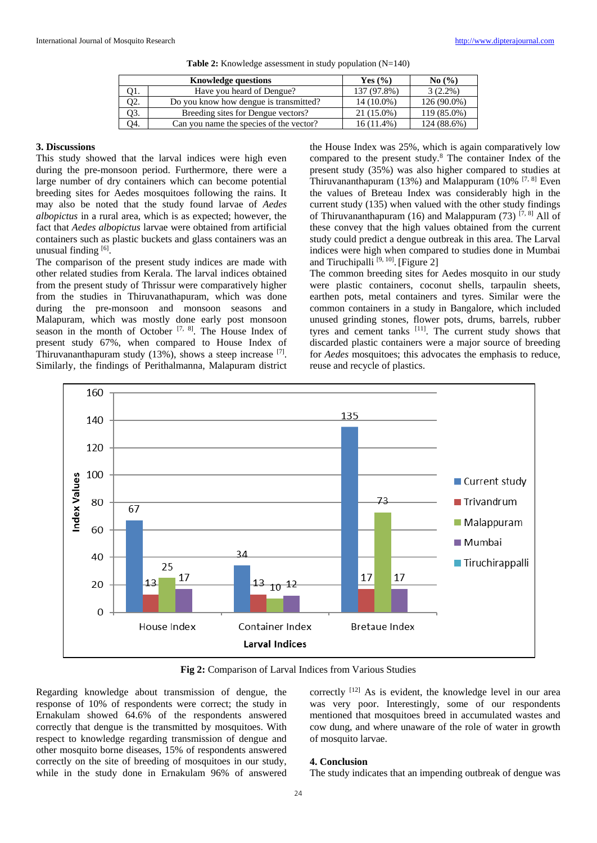|     | <b>Knowledge questions</b>              | Yes $(\% )$  | No(%)       |
|-----|-----------------------------------------|--------------|-------------|
| 11. | Have you heard of Dengue?               | 137 (97.8%)  | $3(2.2\%)$  |
| I2. | Do you know how dengue is transmitted?  | 14 (10.0%)   | 126 (90.0%) |
| Q3. | Breeding sites for Dengue vectors?      | 21 (15.0%)   | 119 (85.0%) |
| 94. | Can you name the species of the vector? | $16(11.4\%)$ | 124 (88.6%) |

**Table 2:** Knowledge assessment in study population (N=140)

## **3. Discussions**

This study showed that the larval indices were high even during the pre-monsoon period. Furthermore, there were a large number of dry containers which can become potential breeding sites for Aedes mosquitoes following the rains. It may also be noted that the study found larvae of *Aedes albopictus* in a rural area, which is as expected; however, the fact that *Aedes albopictus* larvae were obtained from artificial containers such as plastic buckets and glass containers was an unusual finding [6].

The comparison of the present study indices are made with other related studies from Kerala. The larval indices obtained from the present study of Thrissur were comparatively higher from the studies in Thiruvanathapuram, which was done during the pre-monsoon and monsoon seasons and Malapuram, which was mostly done early post monsoon season in the month of October<sup>[7, 8]</sup>. The House Index of present study 67%, when compared to House Index of Thiruvananthapuram study  $(13%)$ , shows a steep increase [7]. Similarly, the findings of Perithalmanna, Malapuram district

the House Index was 25%, which is again comparatively low compared to the present study.<sup>8</sup> The container Index of the present study (35%) was also higher compared to studies at Thiruvananthapuram (13%) and Malappuram (10%  $[7, 8]$  Even the values of Breteau Index was considerably high in the current study (135) when valued with the other study findings of Thiruvananthapuram (16) and Malappuram (73)  $[7, 8]$  All of these convey that the high values obtained from the current study could predict a dengue outbreak in this area. The Larval indices were high when compared to studies done in Mumbai and Tiruchipalli  $[9, 10]$ . [Figure 2]

The common breeding sites for Aedes mosquito in our study were plastic containers, coconut shells, tarpaulin sheets, earthen pots, metal containers and tyres. Similar were the common containers in a study in Bangalore, which included unused grinding stones, flower pots, drums, barrels, rubber tyres and cement tanks [11]. The current study shows that discarded plastic containers were a major source of breeding for *Aedes* mosquitoes; this advocates the emphasis to reduce, reuse and recycle of plastics.



**Fig 2:** Comparison of Larval Indices from Various Studies

Regarding knowledge about transmission of dengue, the response of 10% of respondents were correct; the study in Ernakulam showed 64.6% of the respondents answered correctly that dengue is the transmitted by mosquitoes. With respect to knowledge regarding transmission of dengue and other mosquito borne diseases, 15% of respondents answered correctly on the site of breeding of mosquitoes in our study, while in the study done in Ernakulam 96% of answered correctly <sup>[12]</sup> As is evident, the knowledge level in our area was very poor. Interestingly, some of our respondents mentioned that mosquitoes breed in accumulated wastes and cow dung, and where unaware of the role of water in growth of mosquito larvae.

## **4. Conclusion**

The study indicates that an impending outbreak of dengue was